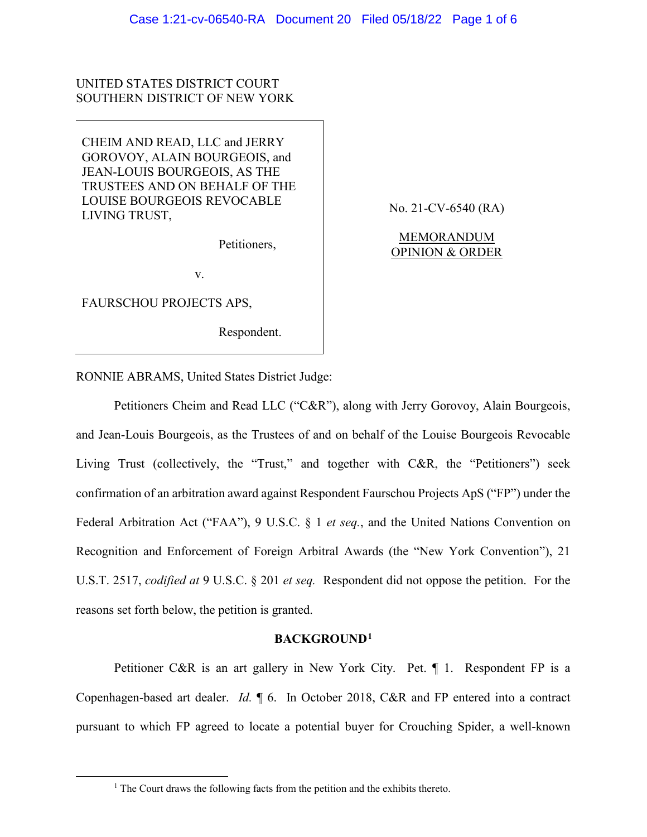# UNITED STATES DISTRICT COURT SOUTHERN DISTRICT OF NEW YORK

CHEIM AND READ, LLC and JERRY GOROVOY, ALAIN BOURGEOIS, and JEAN-LOUIS BOURGEOIS, AS THE TRUSTEES AND ON BEHALF OF THE LOUISE BOURGEOIS REVOCABLE LIVING TRUST,

Petitioners,

No. 21-CV-6540 (RA)

MEMORANDUM OPINION & ORDER

v.

FAURSCHOU PROJECTS APS,

Respondent.

RONNIE ABRAMS, United States District Judge:

Petitioners Cheim and Read LLC ("C&R"), along with Jerry Gorovoy, Alain Bourgeois, and Jean-Louis Bourgeois, as the Trustees of and on behalf of the Louise Bourgeois Revocable Living Trust (collectively, the "Trust," and together with C&R, the "Petitioners") seek confirmation of an arbitration award against Respondent Faurschou Projects ApS ("FP") under the Federal Arbitration Act ("FAA"), 9 U.S.C. § 1 *et seq.*, and the United Nations Convention on Recognition and Enforcement of Foreign Arbitral Awards (the "New York Convention"), 21 U.S.T. 2517, *codified at* 9 U.S.C. § 201 *et seq.* Respondent did not oppose the petition. For the reasons set forth below, the petition is granted.

# **BACKGROUND[1](#page-0-0)**

Petitioner C&R is an art gallery in New York City. Pet. ¶ 1. Respondent FP is a Copenhagen-based art dealer. *Id.* ¶ 6. In October 2018, C&R and FP entered into a contract pursuant to which FP agreed to locate a potential buyer for Crouching Spider, a well-known

<span id="page-0-0"></span> $<sup>1</sup>$  The Court draws the following facts from the petition and the exhibits thereto.</sup>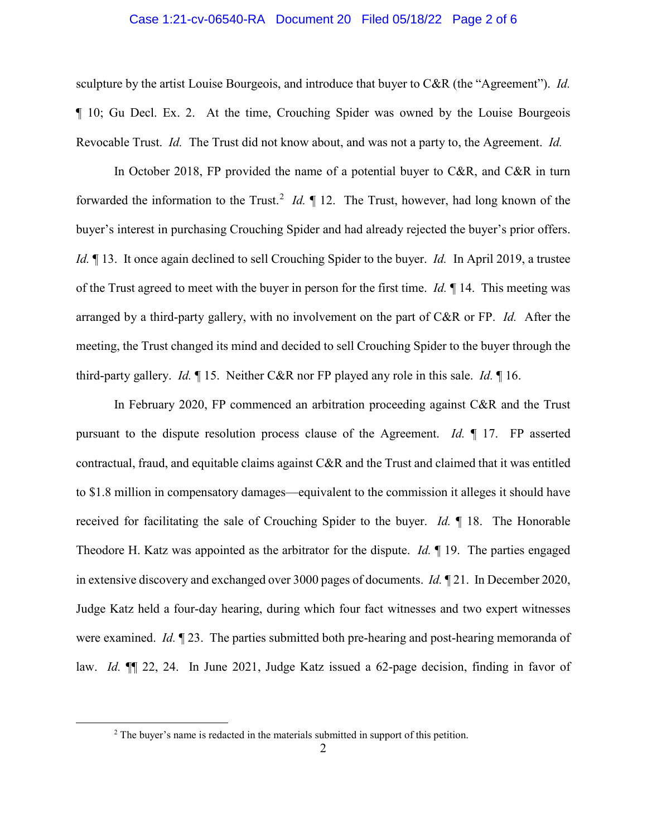### Case 1:21-cv-06540-RA Document 20 Filed 05/18/22 Page 2 of 6

sculpture by the artist Louise Bourgeois, and introduce that buyer to C&R (the "Agreement"). *Id.* ¶ 10; Gu Decl. Ex. 2. At the time, Crouching Spider was owned by the Louise Bourgeois Revocable Trust. *Id.* The Trust did not know about, and was not a party to, the Agreement. *Id.* 

In October 2018, FP provided the name of a potential buyer to C&R, and C&R in turn forwarded the information to the Trust.<sup>[2](#page-1-0)</sup> *Id*.  $\parallel$  12. The Trust, however, had long known of the buyer's interest in purchasing Crouching Spider and had already rejected the buyer's prior offers. *Id.* ¶ 13. It once again declined to sell Crouching Spider to the buyer. *Id.* In April 2019, a trustee of the Trust agreed to meet with the buyer in person for the first time. *Id.* ¶ 14. This meeting was arranged by a third-party gallery, with no involvement on the part of C&R or FP. *Id.* After the meeting, the Trust changed its mind and decided to sell Crouching Spider to the buyer through the third-party gallery. *Id.* ¶ 15. Neither C&R nor FP played any role in this sale. *Id.* ¶ 16.

In February 2020, FP commenced an arbitration proceeding against C&R and the Trust pursuant to the dispute resolution process clause of the Agreement. *Id.* ¶ 17. FP asserted contractual, fraud, and equitable claims against C&R and the Trust and claimed that it was entitled to \$1.8 million in compensatory damages—equivalent to the commission it alleges it should have received for facilitating the sale of Crouching Spider to the buyer. *Id.* ¶ 18. The Honorable Theodore H. Katz was appointed as the arbitrator for the dispute. *Id.* ¶ 19. The parties engaged in extensive discovery and exchanged over 3000 pages of documents. *Id.* ¶ 21. In December 2020, Judge Katz held a four-day hearing, during which four fact witnesses and two expert witnesses were examined. *Id.* ¶ 23. The parties submitted both pre-hearing and post-hearing memoranda of law. *Id.* ¶¶ 22, 24. In June 2021, Judge Katz issued a 62-page decision, finding in favor of

<span id="page-1-0"></span><sup>&</sup>lt;sup>2</sup> The buyer's name is redacted in the materials submitted in support of this petition.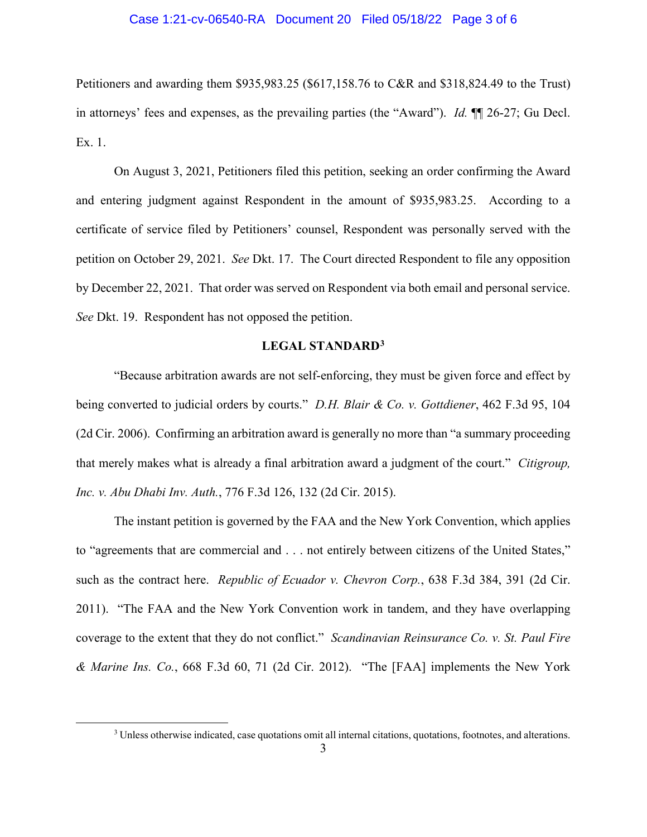## Case 1:21-cv-06540-RA Document 20 Filed 05/18/22 Page 3 of 6

Petitioners and awarding them \$935,983.25 (\$617,158.76 to C&R and \$318,824.49 to the Trust) in attorneys' fees and expenses, as the prevailing parties (the "Award"). *Id.* ¶¶ 26-27; Gu Decl. Ex. 1.

On August 3, 2021, Petitioners filed this petition, seeking an order confirming the Award and entering judgment against Respondent in the amount of \$935,983.25. According to a certificate of service filed by Petitioners' counsel, Respondent was personally served with the petition on October 29, 2021. *See* Dkt. 17. The Court directed Respondent to file any opposition by December 22, 2021. That order was served on Respondent via both email and personal service. *See* Dkt. 19. Respondent has not opposed the petition.

# **LEGAL STANDARD[3](#page-2-0)**

"Because arbitration awards are not self-enforcing, they must be given force and effect by being converted to judicial orders by courts." *D.H. Blair & Co. v. Gottdiener*, 462 F.3d 95, 104 (2d Cir. 2006). Confirming an arbitration award is generally no more than "a summary proceeding that merely makes what is already a final arbitration award a judgment of the court." *Citigroup, Inc. v. Abu Dhabi Inv. Auth.*, 776 F.3d 126, 132 (2d Cir. 2015).

The instant petition is governed by the FAA and the New York Convention, which applies to "agreements that are commercial and . . . not entirely between citizens of the United States," such as the contract here. *Republic of Ecuador v. Chevron Corp.*, 638 F.3d 384, 391 (2d Cir. 2011). "The FAA and the New York Convention work in tandem, and they have overlapping coverage to the extent that they do not conflict." *Scandinavian Reinsurance Co. v. St. Paul Fire & Marine Ins. Co.*, 668 F.3d 60, 71 (2d Cir. 2012). "The [FAA] implements the New York

<span id="page-2-0"></span> <sup>3</sup> Unless otherwise indicated, case quotations omit all internal citations, quotations, footnotes, and alterations.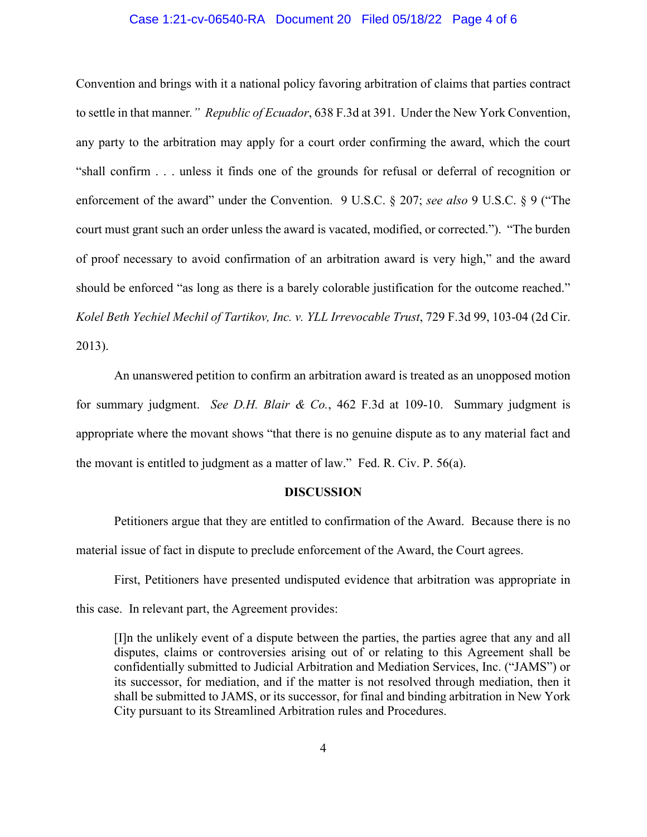## Case 1:21-cv-06540-RA Document 20 Filed 05/18/22 Page 4 of 6

Convention and brings with it a national policy favoring arbitration of claims that parties contract to settle in that manner*." Republic of Ecuador*, 638 F.3d at 391. Under the New York Convention, any party to the arbitration may apply for a court order confirming the award, which the court "shall confirm . . . unless it finds one of the grounds for refusal or deferral of recognition or enforcement of the award" under the Convention. 9 U.S.C. § 207; *see also* 9 U.S.C. § 9 ("The court must grant such an order unless the award is vacated, modified, or corrected."). "The burden of proof necessary to avoid confirmation of an arbitration award is very high," and the award should be enforced "as long as there is a barely colorable justification for the outcome reached." *Kolel Beth Yechiel Mechil of Tartikov, Inc. v. YLL Irrevocable Trust*, 729 F.3d 99, 103-04 (2d Cir. 2013).

An unanswered petition to confirm an arbitration award is treated as an unopposed motion for summary judgment. *See D.H. Blair & Co.*, 462 F.3d at 109-10. Summary judgment is appropriate where the movant shows "that there is no genuine dispute as to any material fact and the movant is entitled to judgment as a matter of law." Fed. R. Civ. P. 56(a).

#### **DISCUSSION**

Petitioners argue that they are entitled to confirmation of the Award. Because there is no material issue of fact in dispute to preclude enforcement of the Award, the Court agrees.

First, Petitioners have presented undisputed evidence that arbitration was appropriate in this case. In relevant part, the Agreement provides:

[I]n the unlikely event of a dispute between the parties, the parties agree that any and all disputes, claims or controversies arising out of or relating to this Agreement shall be confidentially submitted to Judicial Arbitration and Mediation Services, Inc. ("JAMS") or its successor, for mediation, and if the matter is not resolved through mediation, then it shall be submitted to JAMS, or its successor, for final and binding arbitration in New York City pursuant to its Streamlined Arbitration rules and Procedures.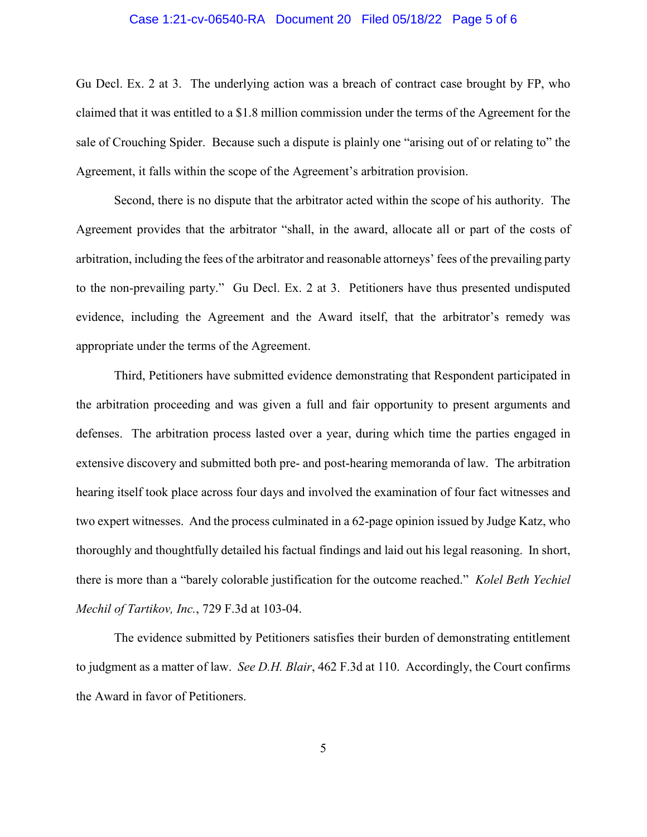## Case 1:21-cv-06540-RA Document 20 Filed 05/18/22 Page 5 of 6

Gu Decl. Ex. 2 at 3. The underlying action was a breach of contract case brought by FP, who claimed that it was entitled to a \$1.8 million commission under the terms of the Agreement for the sale of Crouching Spider. Because such a dispute is plainly one "arising out of or relating to" the Agreement, it falls within the scope of the Agreement's arbitration provision.

Second, there is no dispute that the arbitrator acted within the scope of his authority. The Agreement provides that the arbitrator "shall, in the award, allocate all or part of the costs of arbitration, including the fees of the arbitrator and reasonable attorneys' fees of the prevailing party to the non-prevailing party." Gu Decl. Ex. 2 at 3. Petitioners have thus presented undisputed evidence, including the Agreement and the Award itself, that the arbitrator's remedy was appropriate under the terms of the Agreement.

Third, Petitioners have submitted evidence demonstrating that Respondent participated in the arbitration proceeding and was given a full and fair opportunity to present arguments and defenses. The arbitration process lasted over a year, during which time the parties engaged in extensive discovery and submitted both pre- and post-hearing memoranda of law. The arbitration hearing itself took place across four days and involved the examination of four fact witnesses and two expert witnesses. And the process culminated in a 62-page opinion issued by Judge Katz, who thoroughly and thoughtfully detailed his factual findings and laid out his legal reasoning. In short, there is more than a "barely colorable justification for the outcome reached." *Kolel Beth Yechiel Mechil of Tartikov, Inc.*, 729 F.3d at 103-04.

The evidence submitted by Petitioners satisfies their burden of demonstrating entitlement to judgment as a matter of law. *See D.H. Blair*, 462 F.3d at 110. Accordingly, the Court confirms the Award in favor of Petitioners.